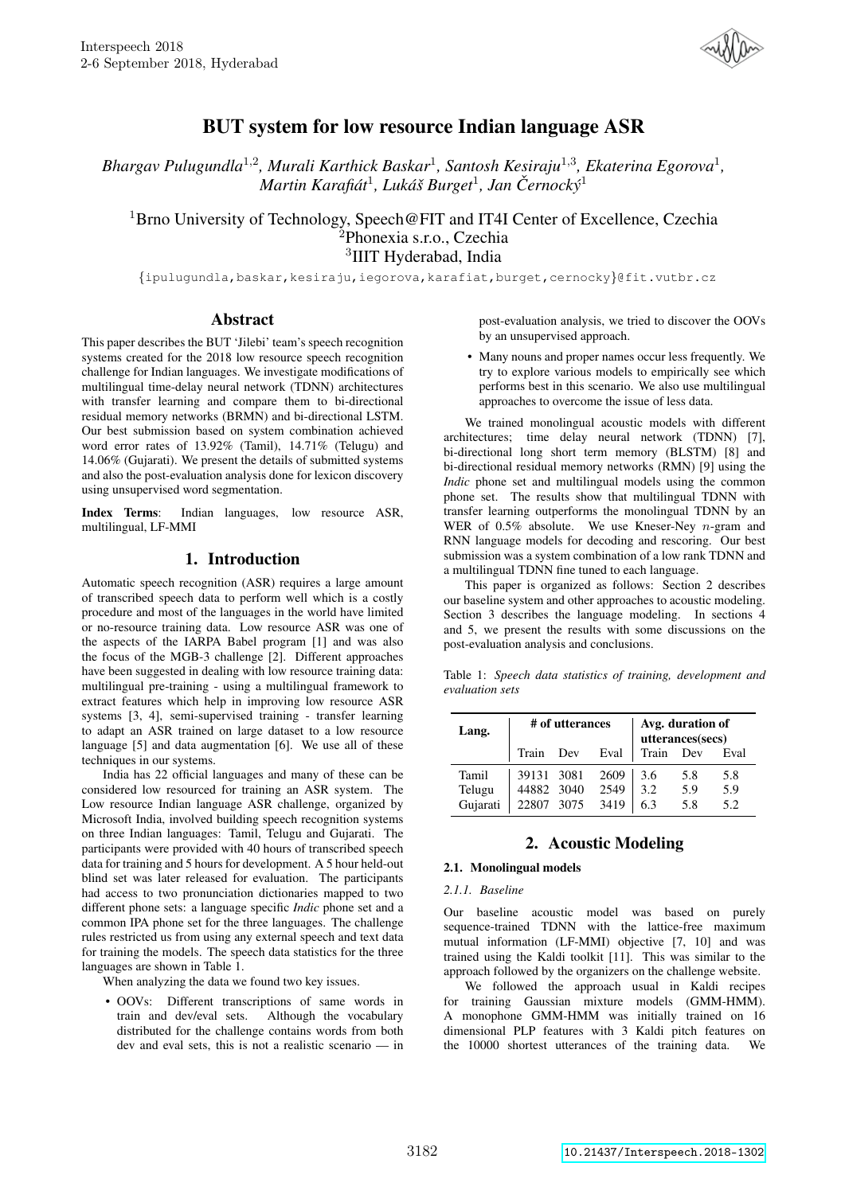

# BUT system for low resource Indian language ASR

Bhargav Pulugundla<sup>1,2</sup>, Murali Karthick Baskar<sup>1</sup>, Santosh Kesiraju<sup>1,3</sup>, Ekaterina Egorova<sup>1</sup>, *Martin Karafiat´* 1 *, Luka´s Burget ˇ* 1 *, Jan Cernock ˇ y´* 1

<sup>1</sup>Brno University of Technology, Speech@FIT and IT4I Center of Excellence, Czechia <sup>2</sup>Phonexia s.r.o., Czechia 3 IIIT Hyderabad, India

{ipulugundla,baskar,kesiraju,iegorova,karafiat,burget,cernocky}@fit.vutbr.cz

## Abstract

This paper describes the BUT 'Jilebi' team's speech recognition systems created for the 2018 low resource speech recognition challenge for Indian languages. We investigate modifications of multilingual time-delay neural network (TDNN) architectures with transfer learning and compare them to bi-directional residual memory networks (BRMN) and bi-directional LSTM. Our best submission based on system combination achieved word error rates of 13.92% (Tamil), 14.71% (Telugu) and 14.06% (Gujarati). We present the details of submitted systems and also the post-evaluation analysis done for lexicon discovery using unsupervised word segmentation.

Index Terms: Indian languages, low resource ASR, multilingual, LF-MMI

## 1. Introduction

Automatic speech recognition (ASR) requires a large amount of transcribed speech data to perform well which is a costly procedure and most of the languages in the world have limited or no-resource training data. Low resource ASR was one of the aspects of the IARPA Babel program [1] and was also the focus of the MGB-3 challenge [2]. Different approaches have been suggested in dealing with low resource training data: multilingual pre-training - using a multilingual framework to extract features which help in improving low resource ASR systems [3, 4], semi-supervised training - transfer learning to adapt an ASR trained on large dataset to a low resource language [5] and data augmentation [6]. We use all of these techniques in our systems.

India has 22 official languages and many of these can be considered low resourced for training an ASR system. The Low resource Indian language ASR challenge, organized by Microsoft India, involved building speech recognition systems on three Indian languages: Tamil, Telugu and Gujarati. The participants were provided with 40 hours of transcribed speech data for training and 5 hours for development. A 5 hour held-out blind set was later released for evaluation. The participants had access to two pronunciation dictionaries mapped to two different phone sets: a language specific *Indic* phone set and a common IPA phone set for the three languages. The challenge rules restricted us from using any external speech and text data for training the models. The speech data statistics for the three languages are shown in Table 1.

When analyzing the data we found two key issues.

• OOVs: Different transcriptions of same words in train and dev/eval sets. Although the vocabulary distributed for the challenge contains words from both dev and eval sets, this is not a realistic scenario — in post-evaluation analysis, we tried to discover the OOVs by an unsupervised approach.

• Many nouns and proper names occur less frequently. We try to explore various models to empirically see which performs best in this scenario. We also use multilingual approaches to overcome the issue of less data.

We trained monolingual acoustic models with different architectures; time delay neural network (TDNN) [7], bi-directional long short term memory (BLSTM) [8] and bi-directional residual memory networks (RMN) [9] using the *Indic* phone set and multilingual models using the common phone set. The results show that multilingual TDNN with transfer learning outperforms the monolingual TDNN by an WER of  $0.5\%$  absolute. We use Kneser-Ney n-gram and RNN language models for decoding and rescoring. Our best submission was a system combination of a low rank TDNN and a multilingual TDNN fine tuned to each language.

This paper is organized as follows: Section 2 describes our baseline system and other approaches to acoustic modeling. Section 3 describes the language modeling. In sections 4 and 5, we present the results with some discussions on the post-evaluation analysis and conclusions.

Table 1: *Speech data statistics of training, development and evaluation sets*

| Lang.    | # of utterances |     |      |       | Avg. duration of<br>utterances(secs) |      |
|----------|-----------------|-----|------|-------|--------------------------------------|------|
|          | Train           | Dev | Eval | Train | Dev                                  | Eval |
| Tamil    | 39131 3081      |     | 2609 | 3.6   | 5.8                                  | 5.8  |
| Telugu   | 44882 3040      |     | 2549 | 3.2   | 5.9                                  | 5.9  |
| Gujarati | 22807 3075      |     | 3419 | 6.3   | 5.8                                  | 5.2  |

## 2. Acoustic Modeling

### 2.1. Monolingual models

*2.1.1. Baseline*

Our baseline acoustic model was based on purely sequence-trained TDNN with the lattice-free maximum mutual information (LF-MMI) objective [7, 10] and was trained using the Kaldi toolkit [11]. This was similar to the approach followed by the organizers on the challenge website.

We followed the approach usual in Kaldi recipes for training Gaussian mixture models (GMM-HMM). A monophone GMM-HMM was initially trained on 16 dimensional PLP features with 3 Kaldi pitch features on the 10000 shortest utterances of the training data. We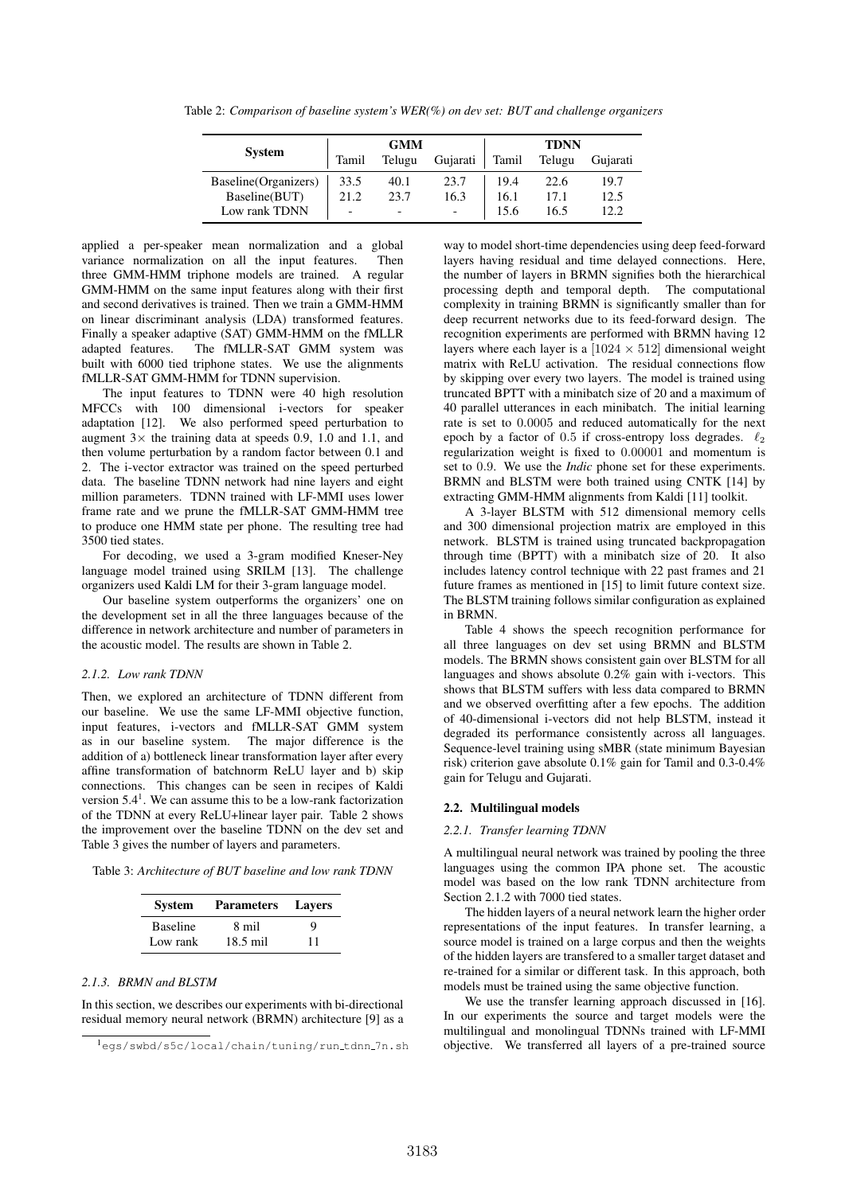|                       |       | <b>GMM</b> |                | <b>TDNN</b> |        |          |
|-----------------------|-------|------------|----------------|-------------|--------|----------|
| <b>System</b>         | Tamil | Telugu     | Gujarati       | Tamil       | Telugu | Gujarati |
| Baseline (Organizers) | 33.5  | 40.1       | 23.7           | 19.4        | 22.6   | 19.7     |
| Baseline(BUT)         | 21.2  | 23.7       | 16.3           | 16.1        | 17.1   | 12.5     |
| Low rank TDNN         |       | -          | $\overline{a}$ |             | 16.5   | 12.2     |

Table 2: *Comparison of baseline system's WER(%) on dev set: BUT and challenge organizers*

applied a per-speaker mean normalization and a global variance normalization on all the input features. Then three GMM-HMM triphone models are trained. A regular GMM-HMM on the same input features along with their first and second derivatives is trained. Then we train a GMM-HMM on linear discriminant analysis (LDA) transformed features. Finally a speaker adaptive (SAT) GMM-HMM on the fMLLR adapted features. The fMLLR-SAT GMM system was built with 6000 tied triphone states. We use the alignments fMLLR-SAT GMM-HMM for TDNN supervision.

The input features to TDNN were 40 high resolution MFCCs with 100 dimensional i-vectors for speaker adaptation [12]. We also performed speed perturbation to augment  $3 \times$  the training data at speeds 0.9, 1.0 and 1.1, and then volume perturbation by a random factor between 0.1 and 2. The i-vector extractor was trained on the speed perturbed data. The baseline TDNN network had nine layers and eight million parameters. TDNN trained with LF-MMI uses lower frame rate and we prune the fMLLR-SAT GMM-HMM tree to produce one HMM state per phone. The resulting tree had 3500 tied states.

For decoding, we used a 3-gram modified Kneser-Ney language model trained using SRILM [13]. The challenge organizers used Kaldi LM for their 3-gram language model.

Our baseline system outperforms the organizers' one on the development set in all the three languages because of the difference in network architecture and number of parameters in the acoustic model. The results are shown in Table 2.

### *2.1.2. Low rank TDNN*

Then, we explored an architecture of TDNN different from our baseline. We use the same LF-MMI objective function, input features, i-vectors and fMLLR-SAT GMM system as in our baseline system. The major difference is the addition of a) bottleneck linear transformation layer after every affine transformation of batchnorm ReLU layer and b) skip connections. This changes can be seen in recipes of Kaldi version  $5.4<sup>1</sup>$ . We can assume this to be a low-rank factorization of the TDNN at every ReLU+linear layer pair. Table 2 shows the improvement over the baseline TDNN on the dev set and Table 3 gives the number of layers and parameters.

Table 3: *Architecture of BUT baseline and low rank TDNN*

| <b>System</b>   | <b>Parameters</b> | <b>Layers</b> |  |
|-----------------|-------------------|---------------|--|
| <b>Baseline</b> | 8 mil             | 9             |  |
| Low rank        | $18.5$ mil        | 11            |  |

### *2.1.3. BRMN and BLSTM*

In this section, we describes our experiments with bi-directional residual memory neural network (BRMN) architecture [9] as a

way to model short-time dependencies using deep feed-forward layers having residual and time delayed connections. Here, the number of layers in BRMN signifies both the hierarchical processing depth and temporal depth. The computational complexity in training BRMN is significantly smaller than for deep recurrent networks due to its feed-forward design. The recognition experiments are performed with BRMN having 12 layers where each layer is a  $[1024 \times 512]$  dimensional weight matrix with ReLU activation. The residual connections flow by skipping over every two layers. The model is trained using truncated BPTT with a minibatch size of 20 and a maximum of 40 parallel utterances in each minibatch. The initial learning rate is set to 0.0005 and reduced automatically for the next epoch by a factor of 0.5 if cross-entropy loss degrades.  $\ell_2$ regularization weight is fixed to 0.00001 and momentum is set to 0.9. We use the *Indic* phone set for these experiments. BRMN and BLSTM were both trained using CNTK [14] by extracting GMM-HMM alignments from Kaldi [11] toolkit.

A 3-layer BLSTM with 512 dimensional memory cells and 300 dimensional projection matrix are employed in this network. BLSTM is trained using truncated backpropagation through time (BPTT) with a minibatch size of 20. It also includes latency control technique with 22 past frames and 21 future frames as mentioned in [15] to limit future context size. The BLSTM training follows similar configuration as explained in BRMN.

Table 4 shows the speech recognition performance for all three languages on dev set using BRMN and BLSTM models. The BRMN shows consistent gain over BLSTM for all languages and shows absolute 0.2% gain with i-vectors. This shows that BLSTM suffers with less data compared to BRMN and we observed overfitting after a few epochs. The addition of 40-dimensional i-vectors did not help BLSTM, instead it degraded its performance consistently across all languages. Sequence-level training using sMBR (state minimum Bayesian risk) criterion gave absolute 0.1% gain for Tamil and 0.3-0.4% gain for Telugu and Gujarati.

#### 2.2. Multilingual models

#### *2.2.1. Transfer learning TDNN*

A multilingual neural network was trained by pooling the three languages using the common IPA phone set. The acoustic model was based on the low rank TDNN architecture from Section 2.1.2 with 7000 tied states.

The hidden layers of a neural network learn the higher order representations of the input features. In transfer learning, a source model is trained on a large corpus and then the weights of the hidden layers are transfered to a smaller target dataset and re-trained for a similar or different task. In this approach, both models must be trained using the same objective function.

We use the transfer learning approach discussed in [16]. In our experiments the source and target models were the multilingual and monolingual TDNNs trained with LF-MMI objective. We transferred all layers of a pre-trained source

<sup>&</sup>lt;sup>1</sup>egs/swbd/s5c/local/chain/tuning/run\_tdnn\_7n.sh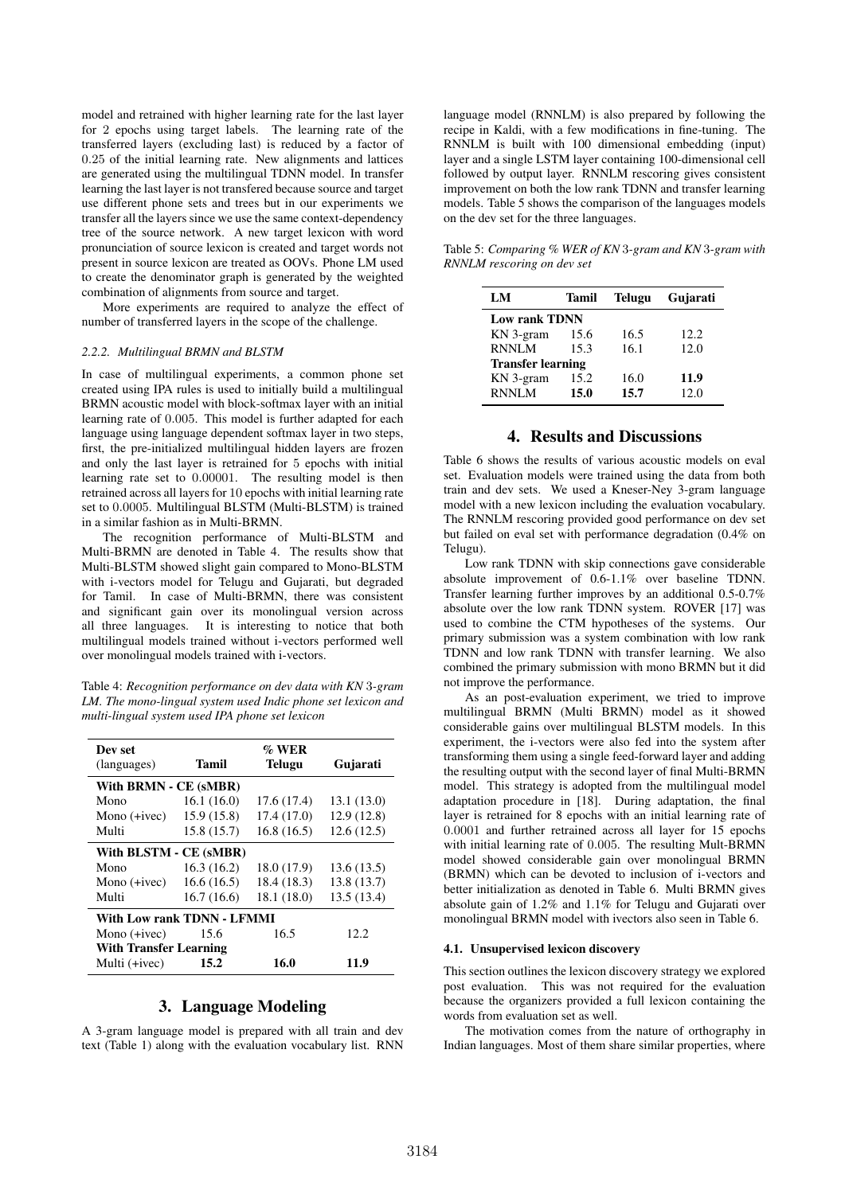model and retrained with higher learning rate for the last layer for 2 epochs using target labels. The learning rate of the transferred layers (excluding last) is reduced by a factor of 0.25 of the initial learning rate. New alignments and lattices are generated using the multilingual TDNN model. In transfer learning the last layer is not transfered because source and target use different phone sets and trees but in our experiments we transfer all the layers since we use the same context-dependency tree of the source network. A new target lexicon with word pronunciation of source lexicon is created and target words not present in source lexicon are treated as OOVs. Phone LM used to create the denominator graph is generated by the weighted combination of alignments from source and target.

More experiments are required to analyze the effect of number of transferred layers in the scope of the challenge.

#### *2.2.2. Multilingual BRMN and BLSTM*

In case of multilingual experiments, a common phone set created using IPA rules is used to initially build a multilingual BRMN acoustic model with block-softmax layer with an initial learning rate of 0.005. This model is further adapted for each language using language dependent softmax layer in two steps, first, the pre-initialized multilingual hidden layers are frozen and only the last layer is retrained for 5 epochs with initial learning rate set to 0.00001. The resulting model is then retrained across all layers for 10 epochs with initial learning rate set to 0.0005. Multilingual BLSTM (Multi-BLSTM) is trained in a similar fashion as in Multi-BRMN.

The recognition performance of Multi-BLSTM and Multi-BRMN are denoted in Table 4. The results show that Multi-BLSTM showed slight gain compared to Mono-BLSTM with i-vectors model for Telugu and Gujarati, but degraded for Tamil. In case of Multi-BRMN, there was consistent and significant gain over its monolingual version across all three languages. It is interesting to notice that both multilingual models trained without i-vectors performed well over monolingual models trained with i-vectors.

Table 4: *Recognition performance on dev data with KN* 3*-gram LM. The mono-lingual system used Indic phone set lexicon and multi-lingual system used IPA phone set lexicon*

| Dev set                    |                               | $\%$ WER    |             |  |  |  |  |
|----------------------------|-------------------------------|-------------|-------------|--|--|--|--|
| (languages)                | Tamil                         | Telugu      | Gujarati    |  |  |  |  |
| With BRMN - CE (sMBR)      |                               |             |             |  |  |  |  |
| Mono                       | 16.1(16.0)                    | 17.6(17.4)  | 13.1 (13.0) |  |  |  |  |
| Mono $(+i$ vec $)$         | 15.9(15.8)                    | 17.4 (17.0) | 12.9(12.8)  |  |  |  |  |
| Multi                      | 15.8 (15.7)                   | 16.8(16.5)  | 12.6(12.5)  |  |  |  |  |
| With BLSTM - CE (sMBR)     |                               |             |             |  |  |  |  |
| Mono                       | 16.3(16.2)                    | 18.0 (17.9) | 13.6(13.5)  |  |  |  |  |
| Mono $(+i$ vec $)$         | 16.6(16.5)                    | 18.4 (18.3) | 13.8 (13.7) |  |  |  |  |
| Multi                      | 16.7(16.6)                    | 18.1 (18.0) | 13.5(13.4)  |  |  |  |  |
| With Low rank TDNN - LFMMI |                               |             |             |  |  |  |  |
| Mono $(+i$ vec $)$         | 15.6                          | 16.5        | 12.2        |  |  |  |  |
|                            | <b>With Transfer Learning</b> |             |             |  |  |  |  |
| Multi $(+i$ ivec $)$       | 15.2                          | 16.0        | 11.9        |  |  |  |  |

## 3. Language Modeling

A 3-gram language model is prepared with all train and dev text (Table 1) along with the evaluation vocabulary list. RNN language model (RNNLM) is also prepared by following the recipe in Kaldi, with a few modifications in fine-tuning. The RNNLM is built with 100 dimensional embedding (input) layer and a single LSTM layer containing 100-dimensional cell followed by output layer. RNNLM rescoring gives consistent improvement on both the low rank TDNN and transfer learning models. Table 5 shows the comparison of the languages models on the dev set for the three languages.

Table 5: *Comparing % WER of KN* 3*-gram and KN* 3*-gram with RNNLM rescoring on dev set*

| LM                       | Tamil | <b>Telugu</b> | Gujarati |  |
|--------------------------|-------|---------------|----------|--|
| <b>Low rank TDNN</b>     |       |               |          |  |
| KN 3-gram                | 15.6  | 16.5          | 12.2.    |  |
| <b>RNNLM</b>             | 15.3  | 16.1          | 12.0     |  |
| <b>Transfer learning</b> |       |               |          |  |
| KN 3-gram                | 15.2  | 16.0          | 11.9     |  |
| <b>RNNLM</b>             | 15.0  | 15.7          | 12.0     |  |

## 4. Results and Discussions

Table 6 shows the results of various acoustic models on eval set. Evaluation models were trained using the data from both train and dev sets. We used a Kneser-Ney 3-gram language model with a new lexicon including the evaluation vocabulary. The RNNLM rescoring provided good performance on dev set but failed on eval set with performance degradation (0.4% on Telugu).

Low rank TDNN with skip connections gave considerable absolute improvement of 0.6-1.1% over baseline TDNN. Transfer learning further improves by an additional 0.5-0.7% absolute over the low rank TDNN system. ROVER [17] was used to combine the CTM hypotheses of the systems. Our primary submission was a system combination with low rank TDNN and low rank TDNN with transfer learning. We also combined the primary submission with mono BRMN but it did not improve the performance.

As an post-evaluation experiment, we tried to improve multilingual BRMN (Multi BRMN) model as it showed considerable gains over multilingual BLSTM models. In this experiment, the i-vectors were also fed into the system after transforming them using a single feed-forward layer and adding the resulting output with the second layer of final Multi-BRMN model. This strategy is adopted from the multilingual model adaptation procedure in [18]. During adaptation, the final layer is retrained for 8 epochs with an initial learning rate of 0.0001 and further retrained across all layer for 15 epochs with initial learning rate of 0.005. The resulting Mult-BRMN model showed considerable gain over monolingual BRMN (BRMN) which can be devoted to inclusion of i-vectors and better initialization as denoted in Table 6. Multi BRMN gives absolute gain of 1.2% and 1.1% for Telugu and Gujarati over monolingual BRMN model with ivectors also seen in Table 6.

#### 4.1. Unsupervised lexicon discovery

This section outlines the lexicon discovery strategy we explored post evaluation. This was not required for the evaluation because the organizers provided a full lexicon containing the words from evaluation set as well.

The motivation comes from the nature of orthography in Indian languages. Most of them share similar properties, where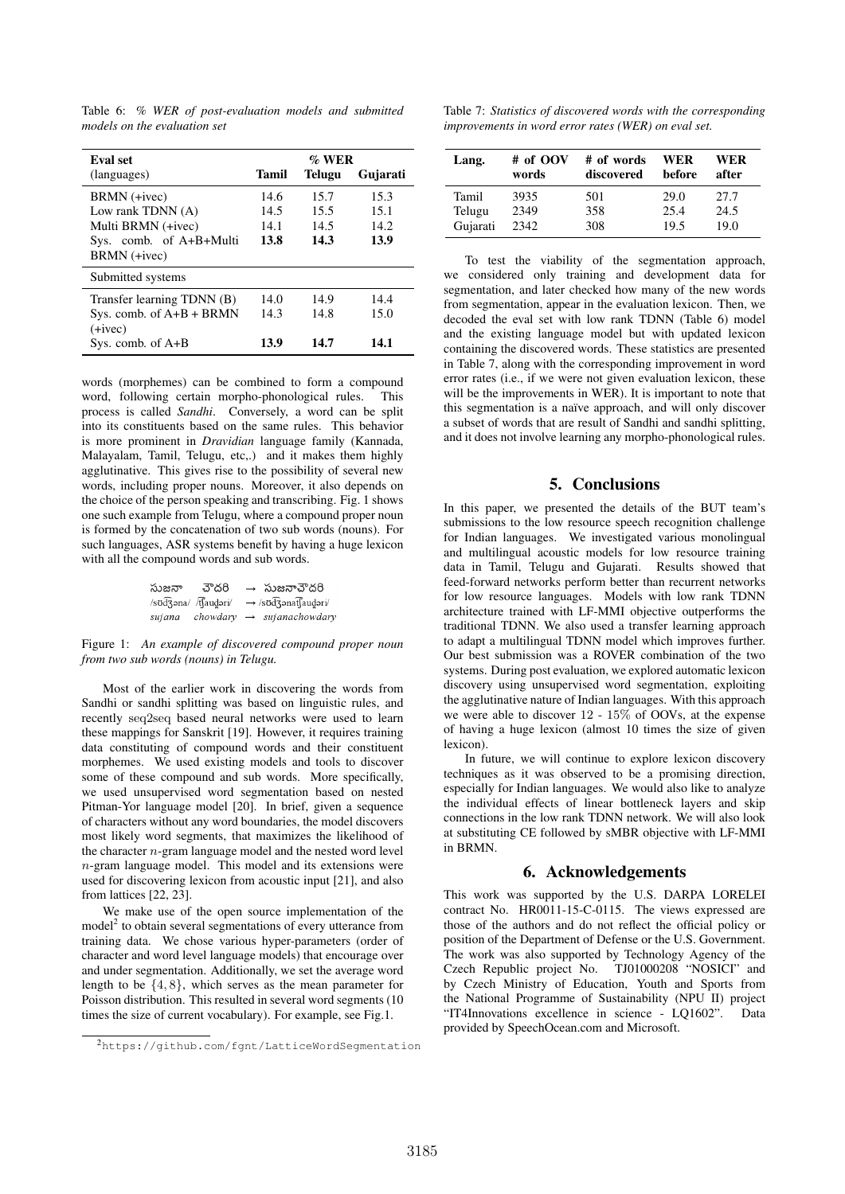| <b>Eval</b> set            | $\%$ WER |               |          |  |
|----------------------------|----------|---------------|----------|--|
| (languages)                | Tamil    | <b>Telugu</b> | Gujarati |  |
| BRMN (+ivec)               | 14.6     | 15.7          | 15.3     |  |
| Low rank TDNN (A)          | 14.5     | 15.5          | 15.1     |  |
| Multi BRMN (+ivec)         | 14.1     | 14.5          | 14.2     |  |
| Sys. comb. of A+B+Multi    | 13.8     | 14.3          | 13.9     |  |
| BRMN (+ivec)               |          |               |          |  |
| Submitted systems          |          |               |          |  |
| Transfer learning TDNN (B) | 14.0     | 14.9          | 14.4     |  |
| Sys. comb. of $A+B$ + BRMN | 14.3     | 14.8          | 15.0     |  |
| $(+ivec)$                  |          |               |          |  |
| Sys. comb. of $A+B$        | 13.9     | 14.7          | 14.1     |  |

Table 6: *% WER of post-evaluation models and submitted models on the evaluation set*

words (morphemes) can be combined to form a compound word, following certain morpho-phonological rules. This process is called *Sandhi*. Conversely, a word can be split into its constituents based on the same rules. This behavior is more prominent in *Dravidian* language family (Kannada, Malayalam, Tamil, Telugu, etc,.) and it makes them highly agglutinative. This gives rise to the possibility of several new words, including proper nouns. Moreover, it also depends on the choice of the person speaking and transcribing. Fig. 1 shows one such example from Telugu, where a compound proper noun is formed by the concatenation of two sub words (nouns). For such languages, ASR systems benefit by having a huge lexicon with all the compound words and sub words.

| సుజనా  | చౌదరి                   | $\rightarrow$ సుజనాచౌదరి     |
|--------|-------------------------|------------------------------|
|        | /sʊd͡ʒəna/ /t͡ʃaud̪əri/ | → /sʊd͡ʒənat͡ʃaud̪əri/       |
| sujana | chowdary                | $\rightarrow$ sujanachowdary |

Figure 1: *An example of discovered compound proper noun from two sub words (nouns) in Telugu.*

Most of the earlier work in discovering the words from Sandhi or sandhi splitting was based on linguistic rules, and recently seq2seq based neural networks were used to learn these mappings for Sanskrit [19]. However, it requires training data constituting of compound words and their constituent morphemes. We used existing models and tools to discover some of these compound and sub words. More specifically, we used unsupervised word segmentation based on nested Pitman-Yor language model [20]. In brief, given a sequence of characters without any word boundaries, the model discovers most likely word segments, that maximizes the likelihood of the character n-gram language model and the nested word level  $n$ -gram language model. This model and its extensions were used for discovering lexicon from acoustic input [21], and also from lattices [22, 23].

We make use of the open source implementation of the model<sup>2</sup> to obtain several segmentations of every utterance from training data. We chose various hyper-parameters (order of character and word level language models) that encourage over and under segmentation. Additionally, we set the average word length to be  $\{4, 8\}$ , which serves as the mean parameter for Poisson distribution. This resulted in several word segments (10 times the size of current vocabulary). For example, see Fig.1.

Table 7: *Statistics of discovered words with the corresponding improvements in word error rates (WER) on eval set.*

| Lang.    | # of OOV<br>words | # of words<br>discovered | WER<br><b>before</b> | WER<br>after |
|----------|-------------------|--------------------------|----------------------|--------------|
| Tamil    | 3935              | 501                      | 29.0                 | 27.7         |
| Telugu   | 2349              | 358                      | 25.4                 | 24.5         |
| Gujarati | 2342              | 308                      | 19.5                 | 19.0         |

To test the viability of the segmentation approach, we considered only training and development data for segmentation, and later checked how many of the new words from segmentation, appear in the evaluation lexicon. Then, we decoded the eval set with low rank TDNN (Table 6) model and the existing language model but with updated lexicon containing the discovered words. These statistics are presented in Table 7, along with the corresponding improvement in word error rates (i.e., if we were not given evaluation lexicon, these will be the improvements in WER). It is important to note that this segmentation is a naïve approach, and will only discover a subset of words that are result of Sandhi and sandhi splitting, and it does not involve learning any morpho-phonological rules.

## 5. Conclusions

In this paper, we presented the details of the BUT team's submissions to the low resource speech recognition challenge for Indian languages. We investigated various monolingual and multilingual acoustic models for low resource training data in Tamil, Telugu and Gujarati. Results showed that feed-forward networks perform better than recurrent networks for low resource languages. Models with low rank TDNN architecture trained with LF-MMI objective outperforms the traditional TDNN. We also used a transfer learning approach to adapt a multilingual TDNN model which improves further. Our best submission was a ROVER combination of the two systems. During post evaluation, we explored automatic lexicon discovery using unsupervised word segmentation, exploiting the agglutinative nature of Indian languages. With this approach we were able to discover 12 - 15% of OOVs, at the expense of having a huge lexicon (almost 10 times the size of given lexicon).

In future, we will continue to explore lexicon discovery techniques as it was observed to be a promising direction, especially for Indian languages. We would also like to analyze the individual effects of linear bottleneck layers and skip connections in the low rank TDNN network. We will also look at substituting CE followed by sMBR objective with LF-MMI in BRMN.

## 6. Acknowledgements

This work was supported by the U.S. DARPA LORELEI contract No. HR0011-15-C-0115. The views expressed are those of the authors and do not reflect the official policy or position of the Department of Defense or the U.S. Government. The work was also supported by Technology Agency of the Czech Republic project No. TJ01000208 "NOSICI" and by Czech Ministry of Education, Youth and Sports from the National Programme of Sustainability (NPU II) project "IT4Innovations excellence in science - LQ1602". Data provided by SpeechOcean.com and Microsoft.

<sup>2</sup>https://github.com/fgnt/LatticeWordSegmentation